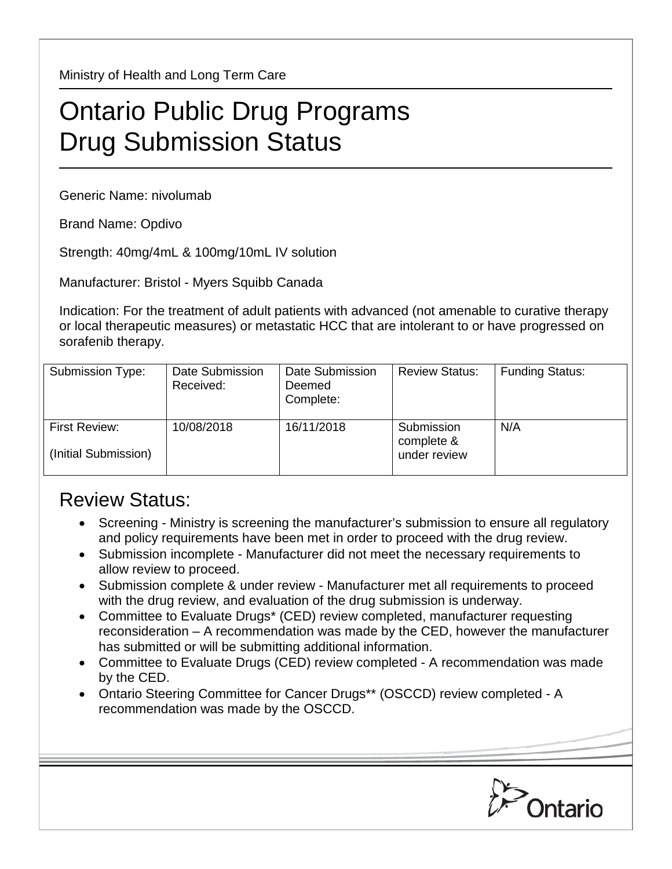Ministry of Health and Long Term Care

## Ontario Public Drug Programs Drug Submission Status

Generic Name: nivolumab

Brand Name: Opdivo

Strength: 40mg/4mL & 100mg/10mL IV solution

Manufacturer: Bristol - Myers Squibb Canada

Indication: For the treatment of adult patients with advanced (not amenable to curative therapy or local therapeutic measures) or metastatic HCC that are intolerant to or have progressed on sorafenib therapy.

| Submission Type:                      | Date Submission<br>Received: | Date Submission<br>Deemed<br>Complete: | <b>Review Status:</b>                    | <b>Funding Status:</b> |
|---------------------------------------|------------------------------|----------------------------------------|------------------------------------------|------------------------|
| First Review:<br>(Initial Submission) | 10/08/2018                   | 16/11/2018                             | Submission<br>complete &<br>under review | N/A                    |

## Review Status:

- Screening Ministry is screening the manufacturer's submission to ensure all regulatory and policy requirements have been met in order to proceed with the drug review.
- Submission incomplete Manufacturer did not meet the necessary requirements to allow review to proceed.
- Submission complete & under review Manufacturer met all requirements to proceed with the drug review, and evaluation of the drug submission is underway.
- Committee to Evaluate Drugs\* (CED) review completed, manufacturer requesting reconsideration – A recommendation was made by the CED, however the manufacturer has submitted or will be submitting additional information.
- Committee to Evaluate Drugs (CED) review completed A recommendation was made by the CED.
- Ontario Steering Committee for Cancer Drugs\*\* (OSCCD) review completed A recommendation was made by the OSCCD.